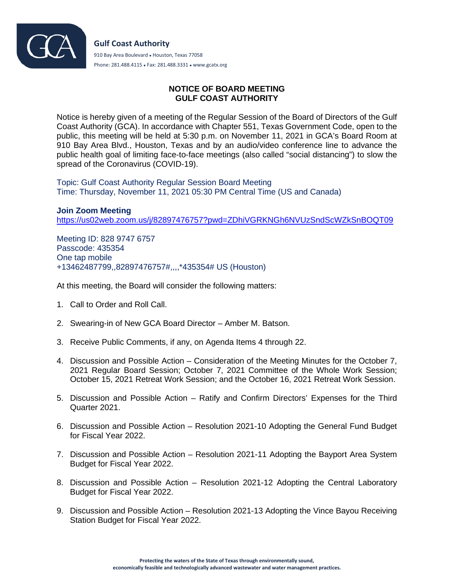

## **NOTICE OF BOARD MEETING GULF COAST AUTHORITY**

Notice is hereby given of a meeting of the Regular Session of the Board of Directors of the Gulf Coast Authority (GCA). In accordance with Chapter 551, Texas Government Code, open to the public, this meeting will be held at 5:30 p.m. on November 11, 2021 in GCA's Board Room at 910 Bay Area Blvd., Houston, Texas and by an audio/video conference line to advance the public health goal of limiting face-to-face meetings (also called "social distancing") to slow the spread of the Coronavirus (COVID-19).

Topic: Gulf Coast Authority Regular Session Board Meeting Time: Thursday, November 11, 2021 05:30 PM Central Time (US and Canada)

**Join Zoom Meeting** <https://us02web.zoom.us/j/82897476757?pwd=ZDhiVGRKNGh6NVUzSndScWZkSnBOQT09>

Meeting ID: 828 9747 6757 Passcode: 435354 One tap mobile +13462487799,,82897476757#,,,,\*435354# US (Houston)

At this meeting, the Board will consider the following matters:

- 1. Call to Order and Roll Call.
- 2. Swearing-in of New GCA Board Director Amber M. Batson.
- 3. Receive Public Comments, if any, on Agenda Items 4 through 22.
- 4. Discussion and Possible Action Consideration of the Meeting Minutes for the October 7, 2021 Regular Board Session; October 7, 2021 Committee of the Whole Work Session; October 15, 2021 Retreat Work Session; and the October 16, 2021 Retreat Work Session.
- 5. Discussion and Possible Action Ratify and Confirm Directors' Expenses for the Third Quarter 2021.
- 6. Discussion and Possible Action Resolution 2021-10 Adopting the General Fund Budget for Fiscal Year 2022.
- 7. Discussion and Possible Action Resolution 2021-11 Adopting the Bayport Area System Budget for Fiscal Year 2022.
- 8. Discussion and Possible Action Resolution 2021-12 Adopting the Central Laboratory Budget for Fiscal Year 2022.
- 9. Discussion and Possible Action Resolution 2021-13 Adopting the Vince Bayou Receiving Station Budget for Fiscal Year 2022.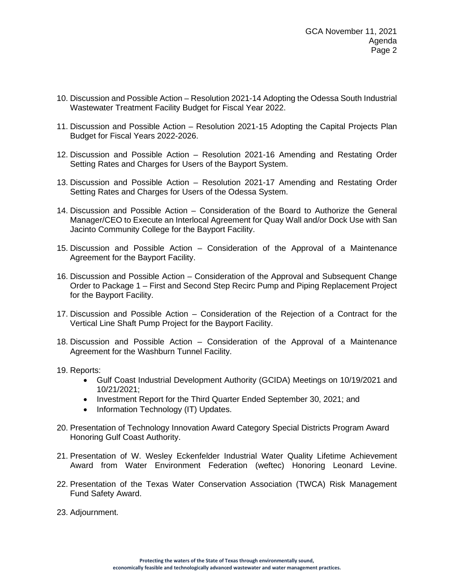- 10. Discussion and Possible Action Resolution 2021-14 Adopting the Odessa South Industrial Wastewater Treatment Facility Budget for Fiscal Year 2022.
- 11. Discussion and Possible Action Resolution 2021-15 Adopting the Capital Projects Plan Budget for Fiscal Years 2022-2026.
- 12. Discussion and Possible Action Resolution 2021-16 Amending and Restating Order Setting Rates and Charges for Users of the Bayport System.
- 13. Discussion and Possible Action Resolution 2021-17 Amending and Restating Order Setting Rates and Charges for Users of the Odessa System.
- 14. Discussion and Possible Action Consideration of the Board to Authorize the General Manager/CEO to Execute an Interlocal Agreement for Quay Wall and/or Dock Use with San Jacinto Community College for the Bayport Facility.
- 15. Discussion and Possible Action Consideration of the Approval of a Maintenance Agreement for the Bayport Facility.
- 16. Discussion and Possible Action Consideration of the Approval and Subsequent Change Order to Package 1 – First and Second Step Recirc Pump and Piping Replacement Project for the Bayport Facility.
- 17. Discussion and Possible Action Consideration of the Rejection of a Contract for the Vertical Line Shaft Pump Project for the Bayport Facility.
- 18. Discussion and Possible Action Consideration of the Approval of a Maintenance Agreement for the Washburn Tunnel Facility.
- 19. Reports:
	- Gulf Coast Industrial Development Authority (GCIDA) Meetings on 10/19/2021 and 10/21/2021;
	- Investment Report for the Third Quarter Ended September 30, 2021; and
	- Information Technology (IT) Updates.
- 20. Presentation of Technology Innovation Award Category Special Districts Program Award Honoring Gulf Coast Authority.
- 21. Presentation of W. Wesley Eckenfelder Industrial Water Quality Lifetime Achievement Award from Water Environment Federation (weftec) Honoring Leonard Levine.
- 22. Presentation of the Texas Water Conservation Association (TWCA) Risk Management Fund Safety Award.
- 23. Adjournment.